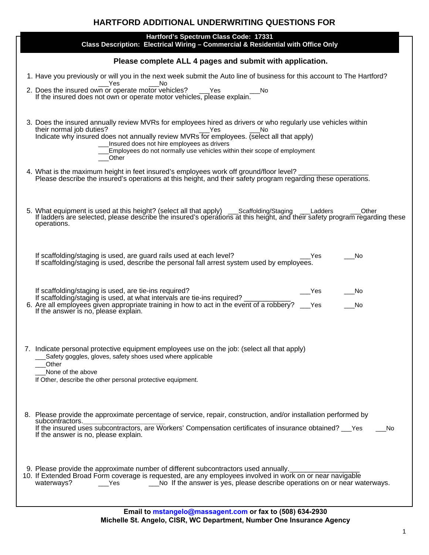# **HARTFORD ADDITIONAL UNDERWRITING QUESTIONS FOR**

| Hartford's Spectrum Class Code: 17331<br>Class Description: Electrical Wiring - Commercial & Residential with Office Only                                                                                                                                                                                                                                                                           |  |  |  |  |
|-----------------------------------------------------------------------------------------------------------------------------------------------------------------------------------------------------------------------------------------------------------------------------------------------------------------------------------------------------------------------------------------------------|--|--|--|--|
| Please complete ALL 4 pages and submit with application.                                                                                                                                                                                                                                                                                                                                            |  |  |  |  |
| 1. Have you previously or will you in the next week submit the Auto line of business for this account to The Hartford?<br>Yes<br>- No                                                                                                                                                                                                                                                               |  |  |  |  |
| $N$ o<br>If the insured does not own or operate motor vehicles, please explain.                                                                                                                                                                                                                                                                                                                     |  |  |  |  |
| 3. Does the insured annually review MVRs for employees hired as drivers or who regularly use vehicles within<br>their normal job duties?<br>their normal job duties?<br>Indicate why insured does not annually review MVRs for employees. (select all that apply)<br>Insured does not hire employees as drivers<br>Employees do not normally use vehicles within their scope of employment<br>Other |  |  |  |  |
| 4. What is the maximum height in feet insured's employees work off ground/floor level? __________<br>Please describe the insured's operations at this height, and their safety program regarding these operations.                                                                                                                                                                                  |  |  |  |  |
| 5. What equipment is used at this height? (select all that apply) ___Scaffolding/Staging ___Ladders ____Other<br>If ladders are selected, please describe the insured's operations at this height, and their safety program regar<br>operations.                                                                                                                                                    |  |  |  |  |
| If scaffolding/staging is used, are guard rails used at each level?<br>Yes<br>No<br>If scaffolding/staging is used, describe the personal fall arrest system used by employees.                                                                                                                                                                                                                     |  |  |  |  |
| If scaffolding/staging is used, are tie-ins required?<br>Yes<br>No.<br>If scaffolding/staging is used, at what intervals are tie-ins required?<br>6. Are all employees given appropriate training in how to act in the event of a robbery? __ Yes<br>No<br>If the answer is no, please explain.                                                                                                     |  |  |  |  |
| 7. Indicate personal protective equipment employees use on the job: (select all that apply)<br>Safety goggles, gloves, safety shoes used where applicable<br>Other<br>None of the above<br>If Other, describe the other personal protective equipment.                                                                                                                                              |  |  |  |  |
| 8. Please provide the approximate percentage of service, repair, construction, and/or installation performed by<br>subcontractors.<br>If the insured uses subcontractors, are Workers' Compensation certificates of insurance obtained? __ Yes<br>No.<br>If the answer is no, please explain.                                                                                                       |  |  |  |  |
| 9. Please provide the approximate number of different subcontractors used annually.<br>10. If Extended Broad Form coverage is requested, are any employees involved in work on or near navigable<br>No If the answer is yes, please describe operations on or near waterways.<br>waterways?<br>Yes                                                                                                  |  |  |  |  |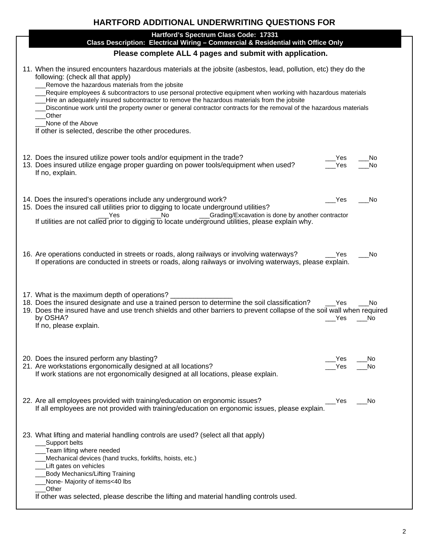# **HARTFORD ADDITIONAL UNDERWRITING QUESTIONS FOR**

| Hartford's Spectrum Class Code: 17331<br>Class Description: Electrical Wiring - Commercial & Residential with Office Only                                                                                                                                                                                                                                                                                                                                                                                                                                                                                                             |            |            |  |  |  |
|---------------------------------------------------------------------------------------------------------------------------------------------------------------------------------------------------------------------------------------------------------------------------------------------------------------------------------------------------------------------------------------------------------------------------------------------------------------------------------------------------------------------------------------------------------------------------------------------------------------------------------------|------------|------------|--|--|--|
| Please complete ALL 4 pages and submit with application.                                                                                                                                                                                                                                                                                                                                                                                                                                                                                                                                                                              |            |            |  |  |  |
| 11. When the insured encounters hazardous materials at the jobsite (asbestos, lead, pollution, etc) they do the<br>following: (check all that apply)<br>Remove the hazardous materials from the jobsite<br>Require employees & subcontractors to use personal protective equipment when working with hazardous materials<br>Hire an adequately insured subcontractor to remove the hazardous materials from the jobsite<br>Discontinue work until the property owner or general contractor contracts for the removal of the hazardous materials<br>Other<br>None of the Above<br>If other is selected, describe the other procedures. |            |            |  |  |  |
| 12. Does the insured utilize power tools and/or equipment in the trade?<br>13. Does insured utilize engage proper guarding on power tools/equipment when used?<br>If no, explain.                                                                                                                                                                                                                                                                                                                                                                                                                                                     | Yes<br>Yes | No<br>No   |  |  |  |
| 14. Does the insured's operations include any underground work?<br>15. Does the insured call utilities prior to digging to locate underground utilities?<br>Grading/Excavation is done by another contractor<br>No<br>Yes<br>If utilities are not called prior to digging to locate underground utilities, please explain why.                                                                                                                                                                                                                                                                                                        | Yes        | No.        |  |  |  |
| 16. Are operations conducted in streets or roads, along railways or involving waterways?<br>If operations are conducted in streets or roads, along railways or involving waterways, please explain.                                                                                                                                                                                                                                                                                                                                                                                                                                   | Yes        | No         |  |  |  |
| 17. What is the maximum depth of operations?<br>18. Does the insured designate and use a trained person to determine the soil classification?<br>19. Does the insured have and use trench shields and other barriers to prevent collapse of the soil wall when required<br>by OSHA?<br>If no, please explain.                                                                                                                                                                                                                                                                                                                         | Yes<br>Yes | No.<br>No. |  |  |  |
| 20. Does the insured perform any blasting?<br>21. Are workstations ergonomically designed at all locations?<br>If work stations are not ergonomically designed at all locations, please explain.                                                                                                                                                                                                                                                                                                                                                                                                                                      | Yes<br>Yes | No.<br>No  |  |  |  |
| 22. Are all employees provided with training/education on ergonomic issues?<br>If all employees are not provided with training/education on ergonomic issues, please explain.                                                                                                                                                                                                                                                                                                                                                                                                                                                         | Yes        | No.        |  |  |  |
| 23. What lifting and material handling controls are used? (select all that apply)<br>Support belts<br>Team lifting where needed<br>Mechanical devices (hand trucks, forklifts, hoists, etc.)<br>Lift gates on vehicles<br><b>Body Mechanics/Lifting Training</b><br>None- Majority of items<40 lbs<br>Other<br>If other was selected, please describe the lifting and material handling controls used.                                                                                                                                                                                                                                |            |            |  |  |  |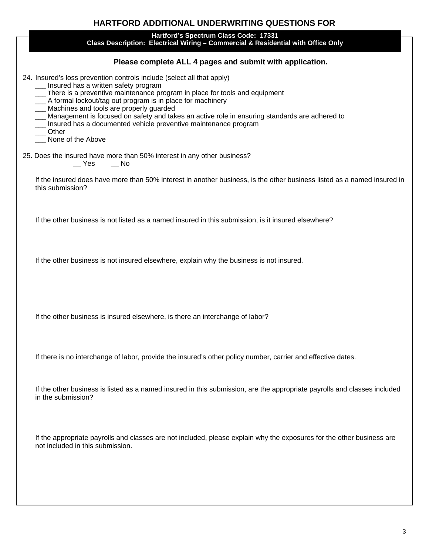| <b>HARTFORD ADDITIONAL UNDERWRITING QUESTIONS FOR</b>                                                                                                                                                                                                                                                                                                                                                                                                                                                              |  |  |  |  |
|--------------------------------------------------------------------------------------------------------------------------------------------------------------------------------------------------------------------------------------------------------------------------------------------------------------------------------------------------------------------------------------------------------------------------------------------------------------------------------------------------------------------|--|--|--|--|
| Hartford's Spectrum Class Code: 17331<br>Class Description: Electrical Wiring - Commercial & Residential with Office Only                                                                                                                                                                                                                                                                                                                                                                                          |  |  |  |  |
| Please complete ALL 4 pages and submit with application.                                                                                                                                                                                                                                                                                                                                                                                                                                                           |  |  |  |  |
| 24. Insured's loss prevention controls include (select all that apply)<br>Insured has a written safety program<br>__ There is a preventive maintenance program in place for tools and equipment<br>__ A formal lockout/tag out program is in place for machinery<br>_ Machines and tools are properly guarded<br>Management is focused on safety and takes an active role in ensuring standards are adhered to<br>__ Insured has a documented vehicle preventive maintenance program<br>Other<br>None of the Above |  |  |  |  |
| 25. Does the insured have more than 50% interest in any other business?<br>$\equiv$ Yes $\equiv$ No                                                                                                                                                                                                                                                                                                                                                                                                                |  |  |  |  |
| If the insured does have more than 50% interest in another business, is the other business listed as a named insured in<br>this submission?                                                                                                                                                                                                                                                                                                                                                                        |  |  |  |  |
| If the other business is not listed as a named insured in this submission, is it insured elsewhere?                                                                                                                                                                                                                                                                                                                                                                                                                |  |  |  |  |
| If the other business is not insured elsewhere, explain why the business is not insured.                                                                                                                                                                                                                                                                                                                                                                                                                           |  |  |  |  |
| If the other business is insured elsewhere, is there an interchange of labor?                                                                                                                                                                                                                                                                                                                                                                                                                                      |  |  |  |  |
| If there is no interchange of labor, provide the insured's other policy number, carrier and effective dates.                                                                                                                                                                                                                                                                                                                                                                                                       |  |  |  |  |
| If the other business is listed as a named insured in this submission, are the appropriate payrolls and classes included<br>in the submission?                                                                                                                                                                                                                                                                                                                                                                     |  |  |  |  |
| If the appropriate payrolls and classes are not included, please explain why the exposures for the other business are<br>not included in this submission.                                                                                                                                                                                                                                                                                                                                                          |  |  |  |  |
|                                                                                                                                                                                                                                                                                                                                                                                                                                                                                                                    |  |  |  |  |